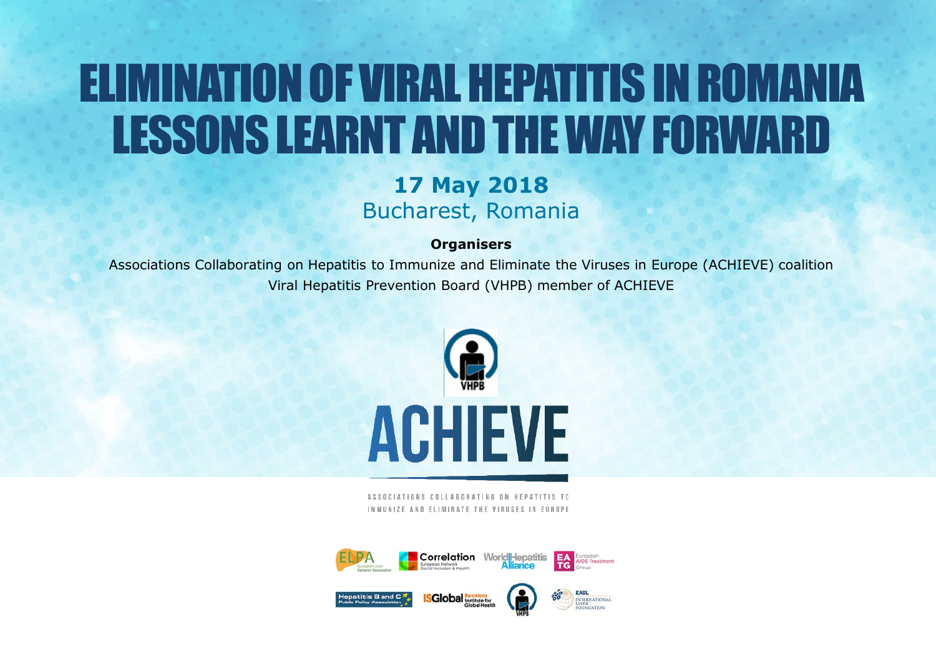## ELIMINATION OF VIRAL HEPATITIS IN ROMANIA LESSONS LEARNT AND THE WAY FORWARD

#### **17 May 2018** Bucharest, Romania

#### **Organisers**

Associations Collaborating on Hepatitis to Immunize and Eliminate the Viruses in Europe (ACHIEVE) coalition Viral Hepatitis Prevention Board (VHPB) member of ACHIEVE



ASSOCIATIONS COLLABORATING ON HEPATITIS IMMUNIZE AND FLIMINATE THE VIRUSES IN FUROPE

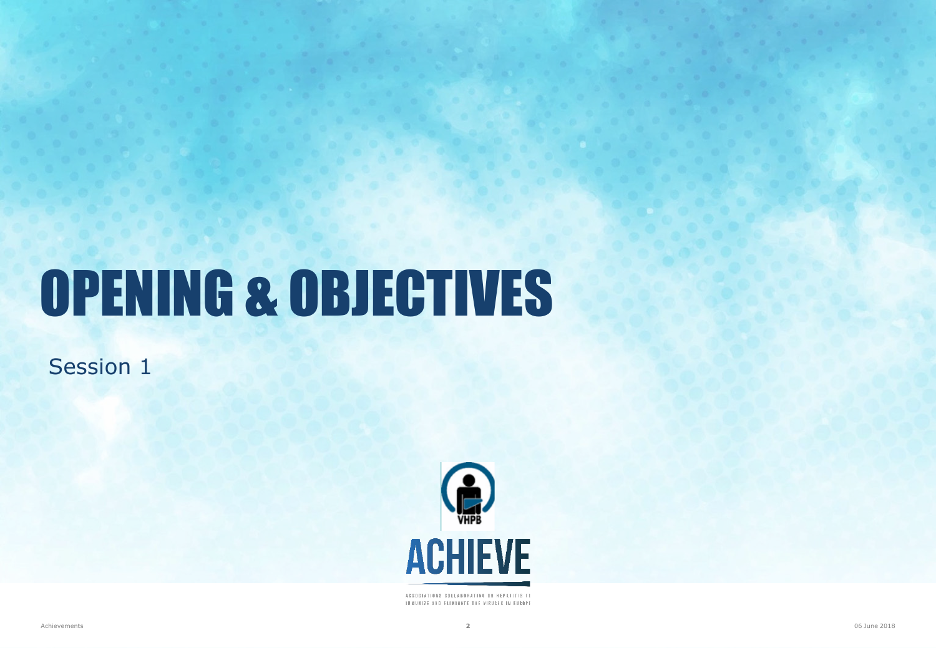# OPENING & OBJECTIVES

Session 1



ASSOCIATIONS COLLABORATING ON HEPATITIS TO INNUNIZE AND ELIMINATE THE VIRUSES IN EUROPE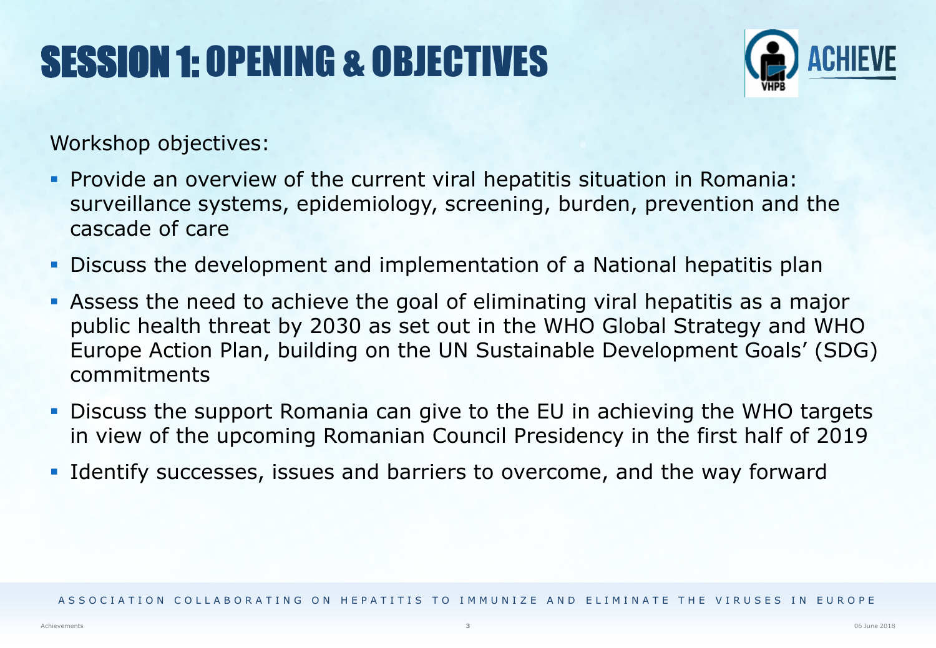## SESSION 1: OPENING & OBJECTIVES



Workshop objectives:

- Provide an overview of the current viral hepatitis situation in Romania: surveillance systems, epidemiology, screening, burden, prevention and the cascade of care
- Discuss the development and implementation of a National hepatitis plan
- Assess the need to achieve the goal of eliminating viral hepatitis as a major public health threat by 2030 as set out in the WHO Global Strategy and WHO Europe Action Plan, building on the UN Sustainable Development Goals' (SDG) commitments
- Discuss the support Romania can give to the EU in achieving the WHO targets in view of the upcoming Romanian Council Presidency in the first half of 2019
- Identify successes, issues and barriers to overcome, and the way forward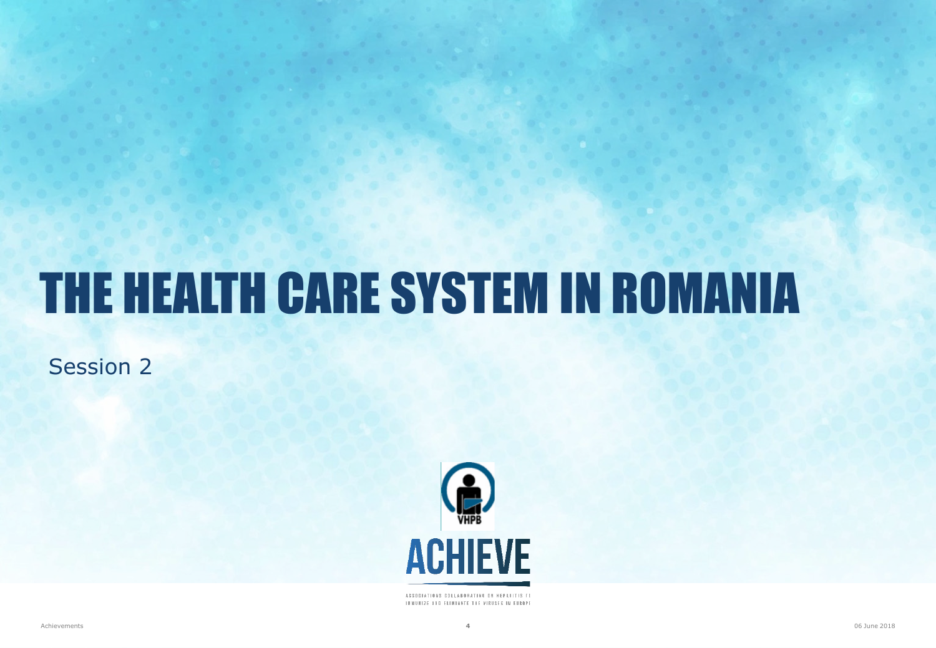## THE HEALTH CARE SYSTEM IN ROMANIA

Session 2



ASSOCIATIONS COLLABORATING ON HEPATITIS TO IMMUNIZE AND ELIMINATE THE VIRUSES IN EUROPE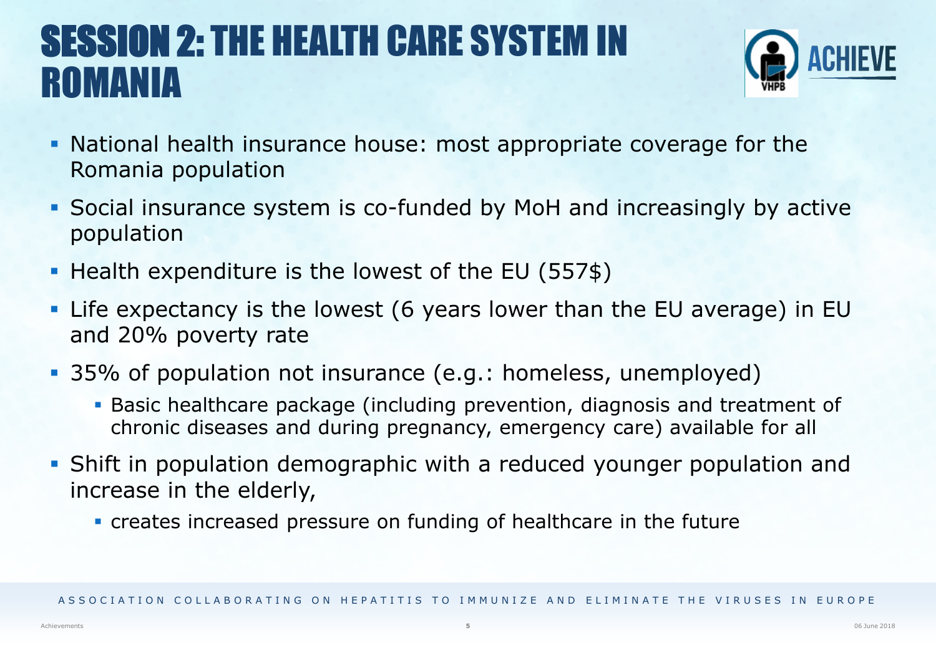#### SESSION 2: THE HEALTH CARE SYSTEM IN ROMANIA



- National health insurance house: most appropriate coverage for the Romania population
- Social insurance system is co-funded by MoH and increasingly by active population
- Health expenditure is the lowest of the EU (557\$)
- Life expectancy is the lowest (6 years lower than the EU average) in EU and 20% poverty rate
- 35% of population not insurance (e.g.: homeless, unemployed)
	- Basic healthcare package (including prevention, diagnosis and treatment of chronic diseases and during pregnancy, emergency care) available for all
- Shift in population demographic with a reduced younger population and increase in the elderly,
	- creates increased pressure on funding of healthcare in the future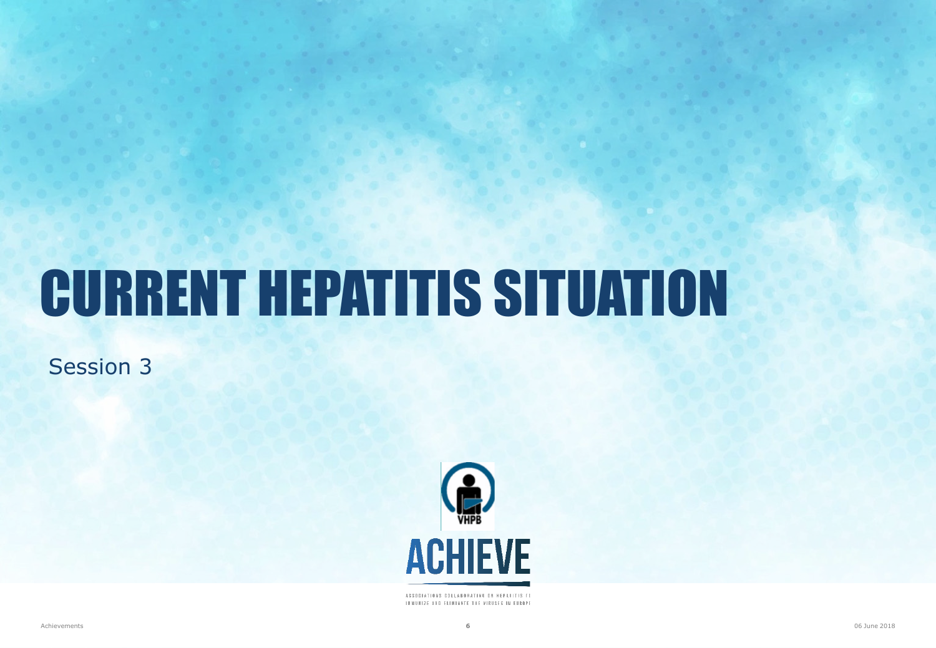## CURRENT HEPATITIS SITUATION

Session 3



ASSOCIATIONS COLLABORATING ON HEPATITIS TO INNUNIZE AND ELIMINATE THE VIRUSES IN EUROPE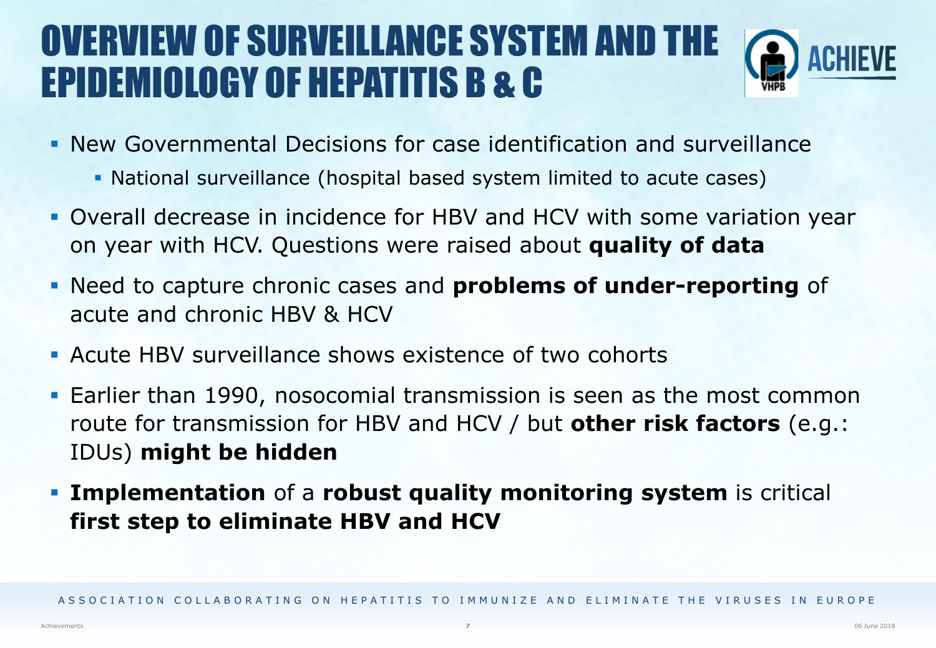#### OVERVIEW OF SURVEILLANCE SYSTEM AND THE EPIDEMIOLOGY OF HEPATITIS B & C



- New Governmental Decisions for case identification and surveillance
	- National surveillance (hospital based system limited to acute cases)
- Overall decrease in incidence for HBV and HCV with some variation year on year with HCV. Questions were raised about **quality of data**
- Need to capture chronic cases and **problems of under-reporting** of acute and chronic HBV & HCV
- Acute HBV surveillance shows existence of two cohorts
- Earlier than 1990, nosocomial transmission is seen as the most common route for transmission for HBV and HCV / but **other risk factors** (e.g.: IDUs) **might be hidden**
- **Implementation** of a **robust quality monitoring system** is critical **first step to eliminate HBV and HCV**

ASSOCIATION COLLABORATING ON HEPATITIS TO IMMUNIZE AND FIIMINATE THE VIRUSES IN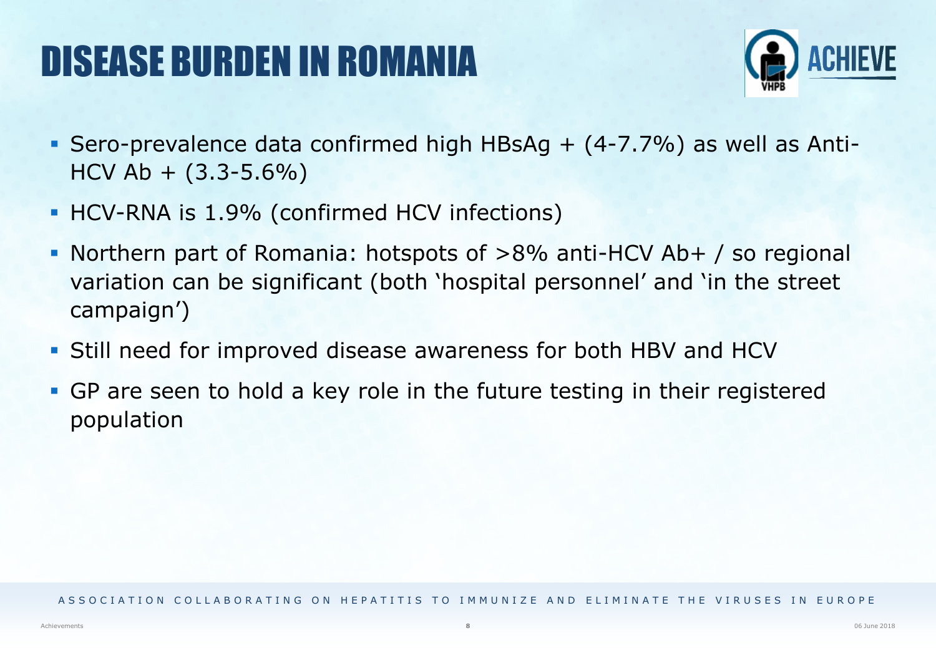### DISEASE BURDEN IN ROMANIA



- Sero-prevalence data confirmed high HBsAg  $+$  (4-7.7%) as well as Anti- $HCV$  Ab  $+$  (3.3-5.6%)
- **HCV-RNA is 1.9% (confirmed HCV infections)**
- Northern part of Romania: hotspots of >8% anti-HCV Ab+ / so regional variation can be significant (both 'hospital personnel' and 'in the street campaign')
- Still need for improved disease awareness for both HBV and HCV
- GP are seen to hold a key role in the future testing in their registered population

ASSOCIATION COLLABORATING ON HEPATITIS TO IMMUNIZE AND FIIMINATE THE VIRUSES IN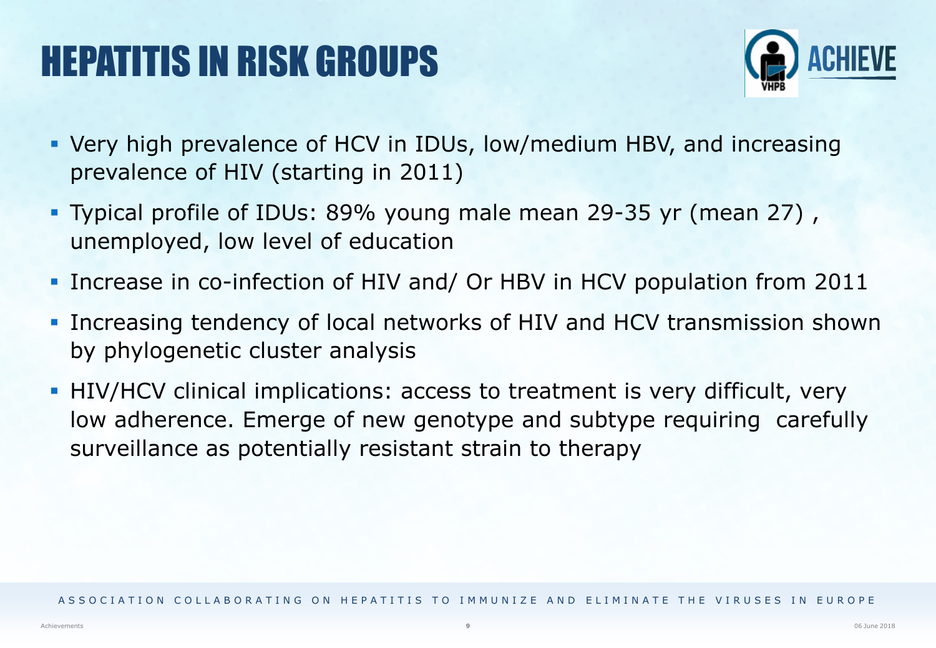### HEPATITIS IN RISK GROUPS



- Very high prevalence of HCV in IDUs, low/medium HBV, and increasing prevalence of HIV (starting in 2011)
- Typical profile of IDUs: 89% young male mean 29-35 yr (mean 27) , unemployed, low level of education
- **Increase in co-infection of HIV and/ Or HBV in HCV population from 2011**
- **Increasing tendency of local networks of HIV and HCV transmission shown** by phylogenetic cluster analysis
- **HIV/HCV** clinical implications: access to treatment is very difficult, very low adherence. Emerge of new genotype and subtype requiring carefully surveillance as potentially resistant strain to therapy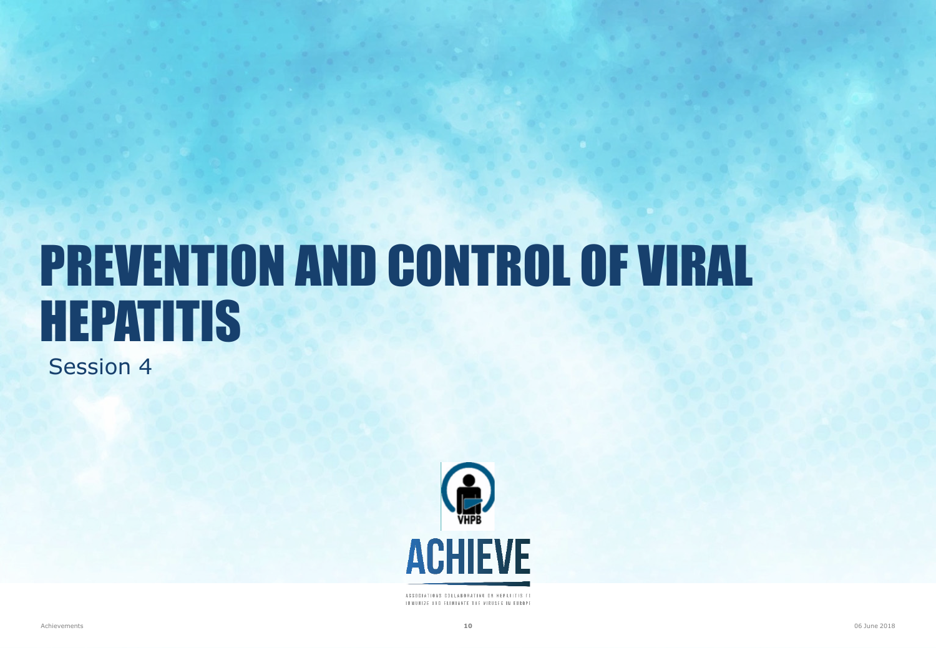## PREVENTION AND CONTROL OF VIRAL HEPATITIS

Session 4



ASSOCIATIONS COLLABORATING ON HEPATITIS TO INMUNIZE AND ELIMINATE THE VIRUSES IN EUROPE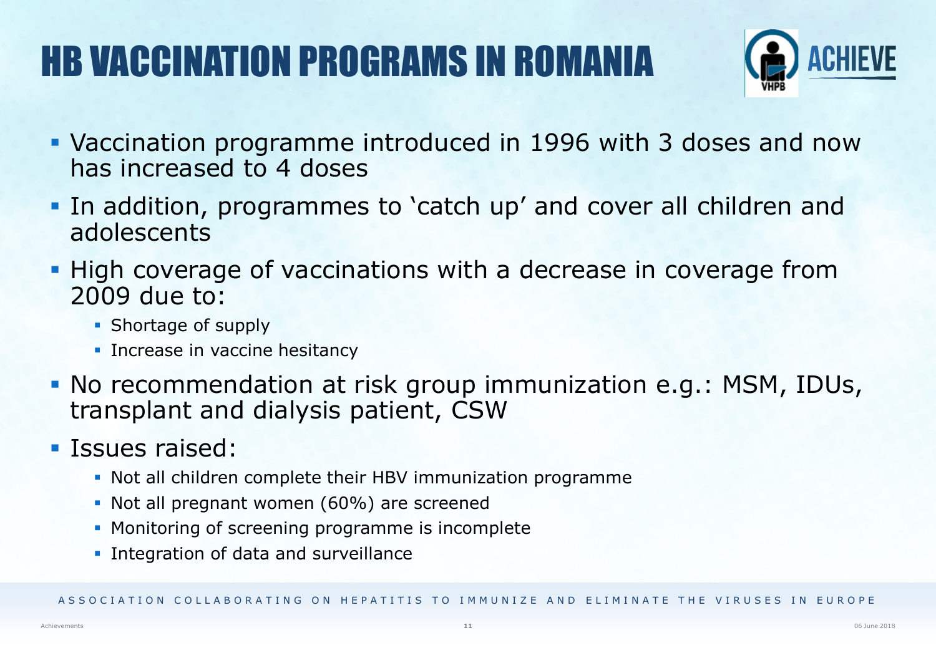## HB VACCINATION PROGRAMS IN ROMANIA



- Vaccination programme introduced in 1996 with 3 doses and now has increased to 4 doses
- In addition, programmes to 'catch up' and cover all children and adolescents
- **High coverage of vaccinations with a decrease in coverage from** 2009 due to:
	- Shortage of supply
	- **Increase in vaccine hesitancy**
- No recommendation at risk group immunization e.g.: MSM, IDUs, transplant and dialysis patient, CSW
- **Issues raised:** 
	- Not all children complete their HBV immunization programme
	- Not all pregnant women (60%) are screened
	- **Monitoring of screening programme is incomplete**
	- **Integration of data and surveillance**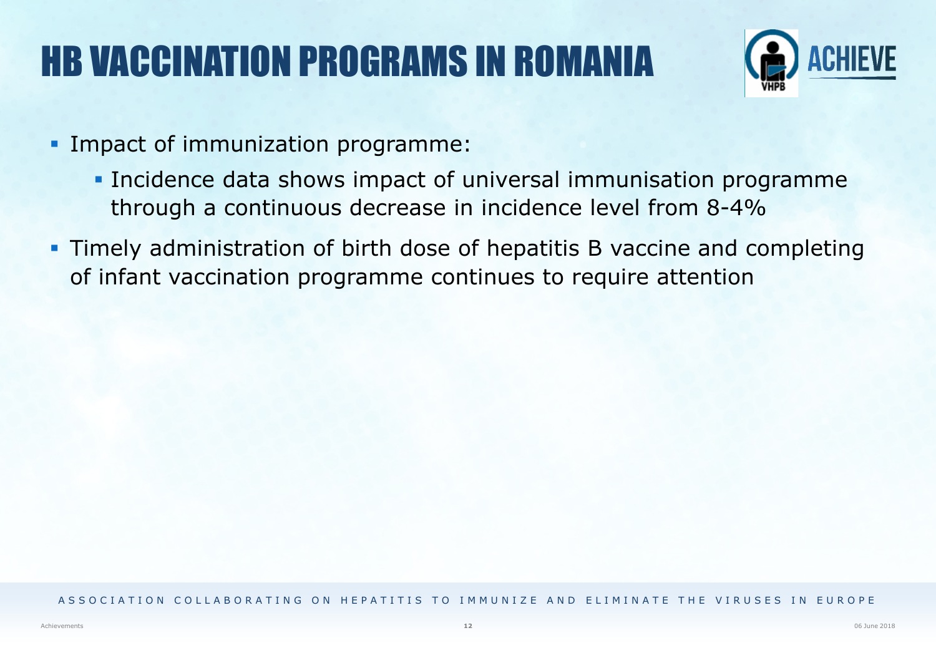### HB VACCINATION PROGRAMS IN ROMANIA



- **Impact of immunization programme:** 
	- **Incidence data shows impact of universal immunisation programme** through a continuous decrease in incidence level from 8-4%
- Timely administration of birth dose of hepatitis B vaccine and completing of infant vaccination programme continues to require attention

#### ASSOCIATION COLLABORATING ON HEPATITIS TO IMMUNIZE AND ELIMINATE THE VIRUSES IN EUROPE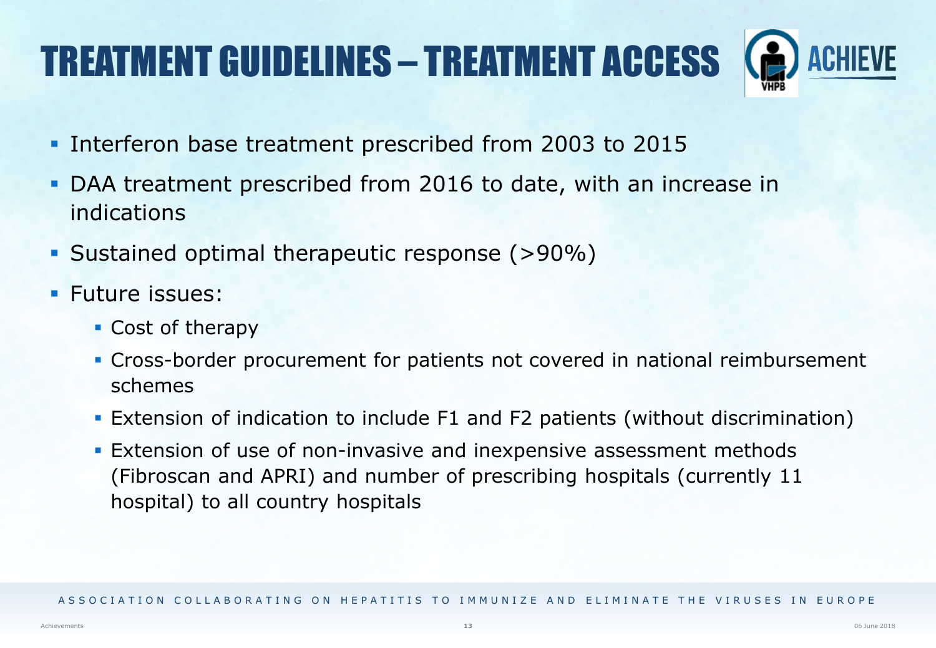## TREATMENT GUIDELINES – TREATMENT ACCESS

- **Interferon base treatment prescribed from 2003 to 2015**
- DAA treatment prescribed from 2016 to date, with an increase in indications
- Sustained optimal therapeutic response (>90%)
- **Future issues:** 
	- Cost of therapy
	- Cross-border procurement for patients not covered in national reimbursement schemes
	- Extension of indication to include F1 and F2 patients (without discrimination)
	- **Extension of use of non-invasive and inexpensive assessment methods** (Fibroscan and APRI) and number of prescribing hospitals (currently 11 hospital) to all country hospitals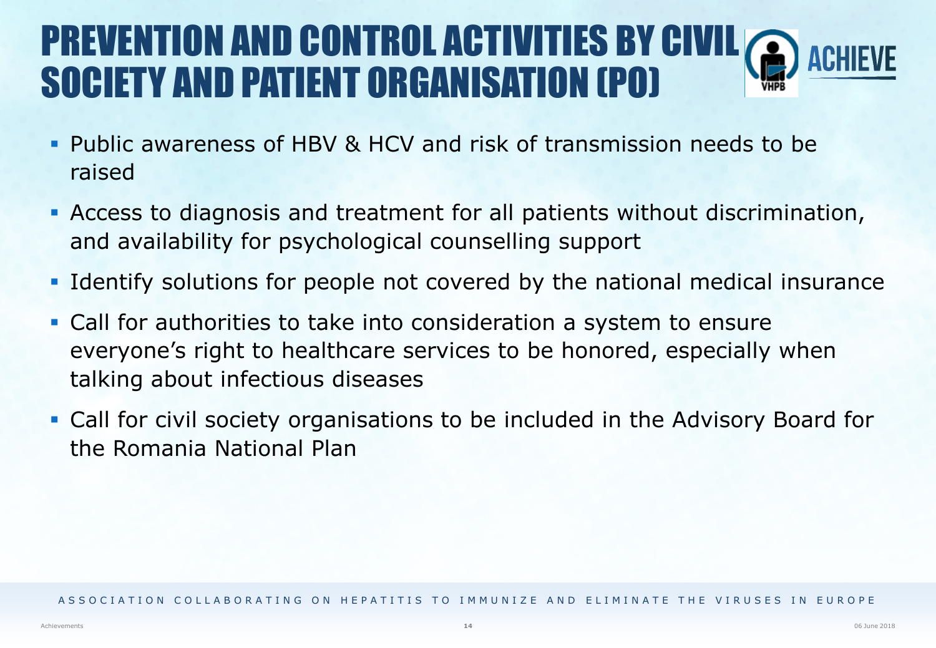#### PREVENTION AND CONTROL ACTIVITIES BY CIVIL SOCIETY AND PATIENT ORGANISATION (PO)

- Public awareness of HBV & HCV and risk of transmission needs to be raised
- Access to diagnosis and treatment for all patients without discrimination, and availability for psychological counselling support
- Identify solutions for people not covered by the national medical insurance
- Call for authorities to take into consideration a system to ensure everyone's right to healthcare services to be honored, especially when talking about infectious diseases
- Call for civil society organisations to be included in the Advisory Board for the Romania National Plan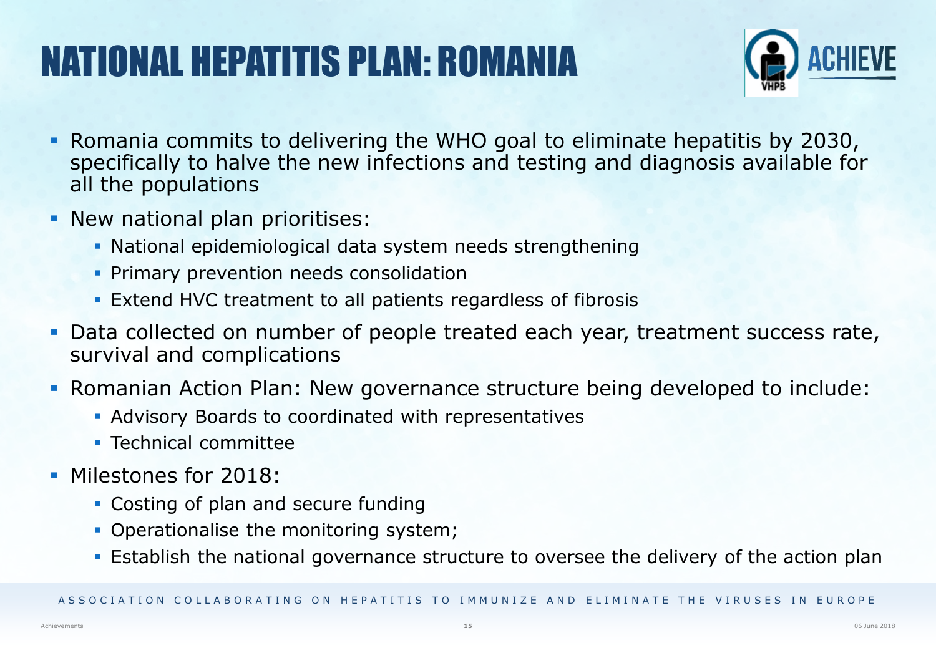## NATIONAL HEPATITIS PLAN: ROMANIA



- Romania commits to delivering the WHO goal to eliminate hepatitis by 2030, specifically to halve the new infections and testing and diagnosis available for all the populations
- **New national plan prioritises:** 
	- National epidemiological data system needs strengthening
	- **Primary prevention needs consolidation**
	- Extend HVC treatment to all patients regardless of fibrosis
- Data collected on number of people treated each year, treatment success rate, survival and complications
- Romanian Action Plan: New governance structure being developed to include:
	- Advisory Boards to coordinated with representatives
	- **Technical committee**
- **Milestones for 2018:** 
	- Costing of plan and secure funding
	- Operationalise the monitoring system;
	- **Establish the national governance structure to oversee the delivery of the action plan**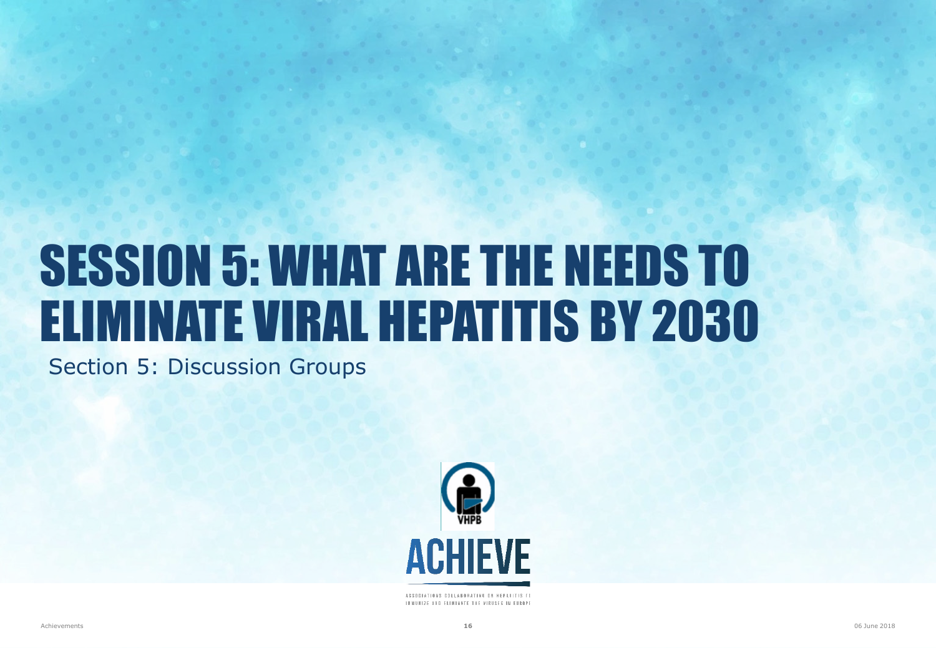## SESSION 5: WHAT ARE THE NEEDS TO ELIMINATE VIRAL HEPATITIS BY 2030

Section 5: Discussion Groups



ASSOCIATIONS COLLABORATING ON HEPATITIS TO INNUNIZE AND ELIMINATE THE VIRUSES IN EUROPE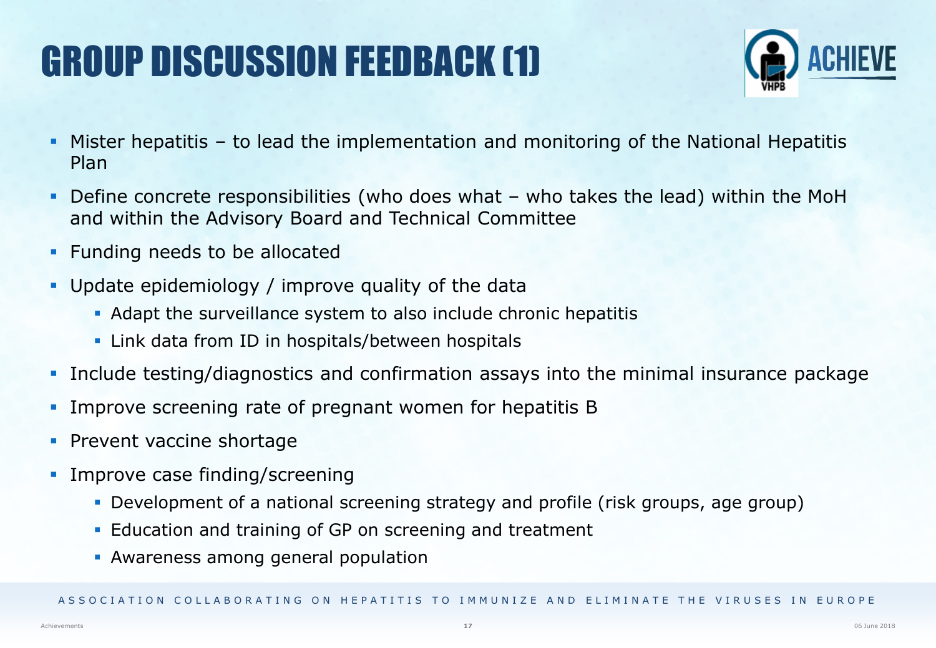## GROUP DISCUSSION FEEDBACK (1)



- Mister hepatitis to lead the implementation and monitoring of the National Hepatitis Plan
- Define concrete responsibilities (who does what who takes the lead) within the MoH and within the Advisory Board and Technical Committee
- Funding needs to be allocated
- Update epidemiology / improve quality of the data
	- Adapt the surveillance system to also include chronic hepatitis
	- **EXALLER** Link data from ID in hospitals/between hospitals
- Include testing/diagnostics and confirmation assays into the minimal insurance package
- Improve screening rate of pregnant women for hepatitis B
- **Prevent vaccine shortage**
- **Improve case finding/screening** 
	- Development of a national screening strategy and profile (risk groups, age group)
	- Education and training of GP on screening and treatment
	- Awareness among general population